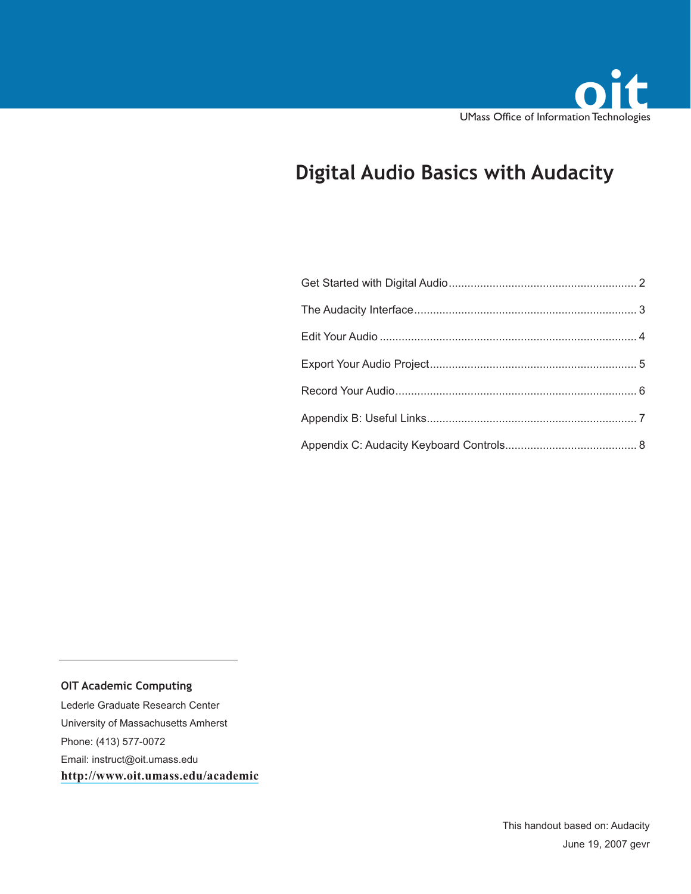

# **Digital Audio Basics with Audacity**

**OIT Academic Computing**

Lederle Graduate Research Center University of Massachusetts Amherst Phone: (413) 577-0072 Email: instruct@oit.umass.edu **http://www.oit.umass.edu/academic**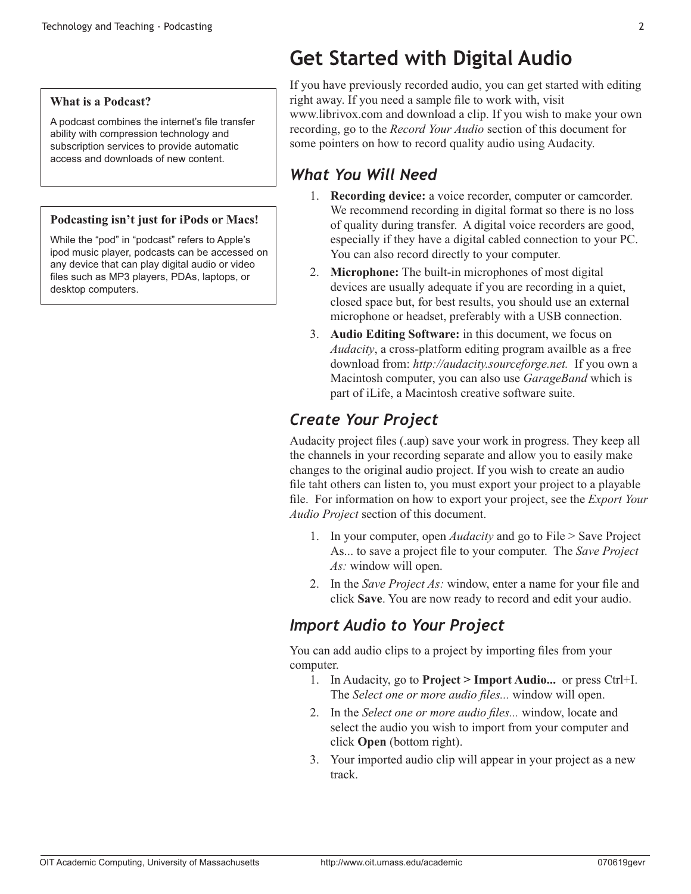#### **What is a Podcast?**

A podcast combines the internet's file transfer ability with compression technology and subscription services to provide automatic access and downloads of new content.

#### **Podcasting isn't just for iPods or Macs!**

While the "pod" in "podcast" refers to Apple's ipod music player, podcasts can be accessed on any device that can play digital audio or video files such as MP3 players, PDAs, laptops, or desktop computers.

# **Get Started with Digital Audio**

If you have previously recorded audio, you can get started with editing right away. If you need a sample file to work with, visit www.librivox.com and download a clip. If you wish to make your own recording, go to the *Record Your Audio* section of this document for some pointers on how to record quality audio using Audacity.

# *What You Will Need*

- 1. **Recording device:** a voice recorder, computer or camcorder. We recommend recording in digital format so there is no loss of quality during transfer. A digital voice recorders are good, especially if they have a digital cabled connection to your PC. You can also record directly to your computer.
- 2. **Microphone:** The built-in microphones of most digital devices are usually adequate if you are recording in a quiet, closed space but, for best results, you should use an external microphone or headset, preferably with a USB connection.
- 3. **Audio Editing Software:** in this document, we focus on *Audacity*, a cross-platform editing program availble as a free download from: *http://audacity.sourceforge.net.* If you own a Macintosh computer, you can also use *GarageBand* which is part of iLife, a Macintosh creative software suite.

# *Create Your Project*

Audacity project files (.aup) save your work in progress. They keep all the channels in your recording separate and allow you to easily make changes to the original audio project. If you wish to create an audio file taht others can listen to, you must export your project to a playable file. For information on how to export your project, see the *Export Your Audio Project* section of this document.

- 1. In your computer, open *Audacity* and go to File > Save Project As... to save a project file to your computer. The *Save Project As:* window will open.
- 2. In the *Save Project As:* window, enter a name for your file and click **Save**. You are now ready to record and edit your audio.

# *Import Audio to Your Project*

You can add audio clips to a project by importing files from your computer.

- 1. In Audacity, go to **Project > Import Audio...** or press Ctrl+I. The *Select one or more audio files...* window will open.
- 2. In the *Select one or more audio files...* window, locate and select the audio you wish to import from your computer and click **Open** (bottom right).
- 3. Your imported audio clip will appear in your project as a new track.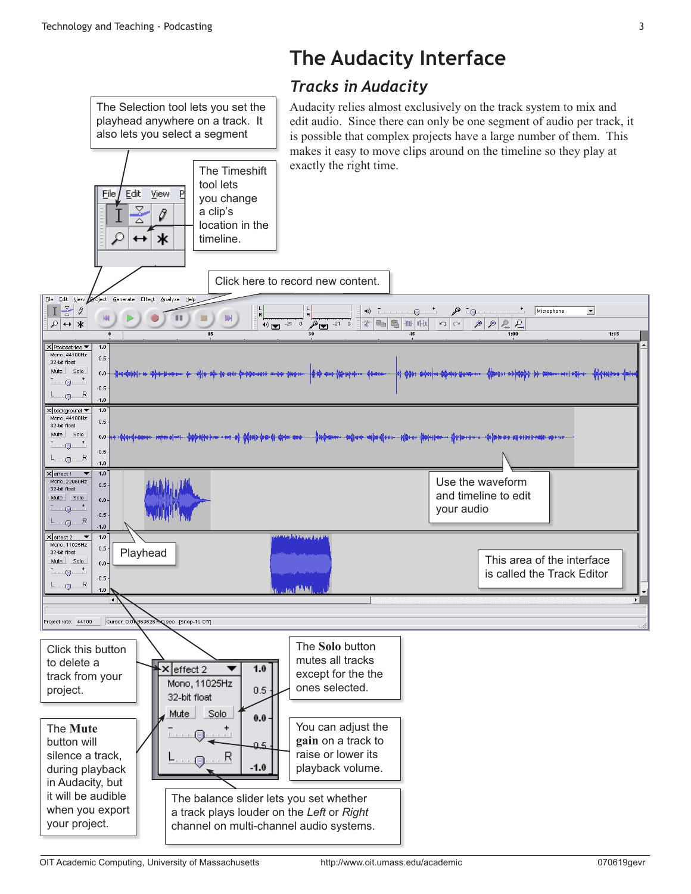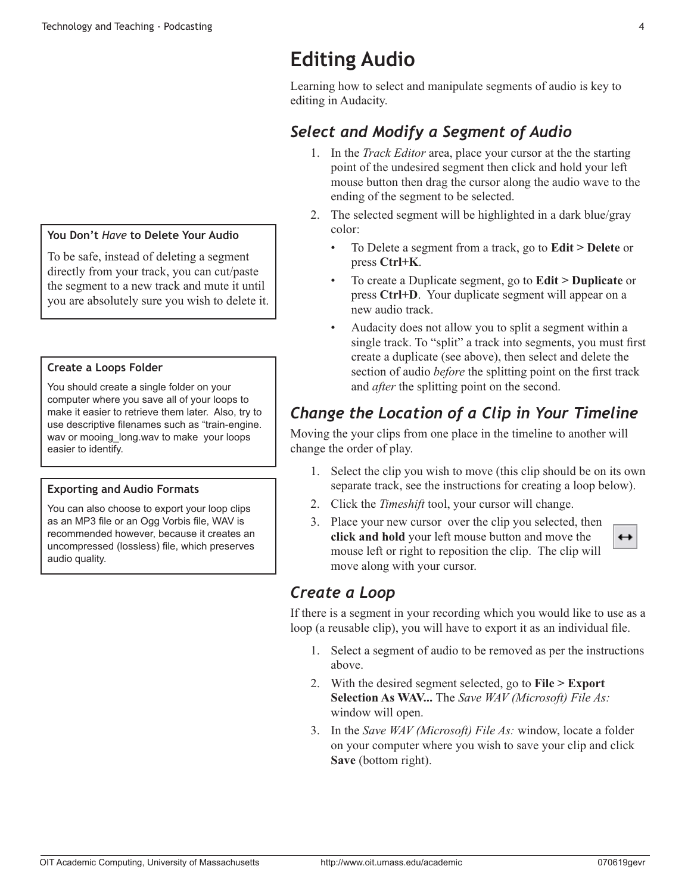# **Editing Audio**

Learning how to select and manipulate segments of audio is key to editing in Audacity.

# *Select and Modify a Segment of Audio*

- 1. In the *Track Editor* area, place your cursor at the the starting point of the undesired segment then click and hold your left mouse button then drag the cursor along the audio wave to the ending of the segment to be selected.
- 2. The selected segment will be highlighted in a dark blue/gray color:
	- • To Delete a segment from a track, go to **Edit > Delete** or press **Ctrl+K**.
	- To create a Duplicate segment, go to **Edit > Duplicate** or press **Ctrl+D**. Your duplicate segment will appear on a new audio track.
	- Audacity does not allow you to split a segment within a single track. To "split" a track into segments, you must first create a duplicate (see above), then select and delete the section of audio *before* the splitting point on the first track and *after* the splitting point on the second.

# *Change the Location of a Clip in Your Timeline*

Moving the your clips from one place in the timeline to another will change the order of play.

- 1. Select the clip you wish to move (this clip should be on its own separate track, see the instructions for creating a loop below).
- 2. Click the *Timeshift* tool, your cursor will change.
- 3. Place your new cursor over the clip you selected, then **click and hold** your left mouse button and move the mouse left or right to reposition the clip. The clip will move along with your cursor.

# *Create a Loop*

If there is a segment in your recording which you would like to use as a loop (a reusable clip), you will have to export it as an individual file.

- 1. Select a segment of audio to be removed as per the instructions above.
- 2. With the desired segment selected, go to **File > Export Selection As WAV...** The *Save WAV (Microsoft) File As:* window will open.
- 3. In the *Save WAV (Microsoft) File As:* window, locate a folder on your computer where you wish to save your clip and click **Save** (bottom right).

### **You Don't** *Have* **to Delete Your Audio**

To be safe, instead of deleting a segment directly from your track, you can cut/paste the segment to a new track and mute it until you are absolutely sure you wish to delete it.

#### **Create a Loops Folder**

You should create a single folder on your computer where you save all of your loops to make it easier to retrieve them later. Also, try to use descriptive filenames such as "train-engine. way or mooing long.way to make your loops easier to identify.

### **Exporting and Audio Formats**

You can also choose to export your loop clips as an MP3 file or an Ogg Vorbis file, WAV is recommended however, because it creates an uncompressed (lossless) file, which preserves audio quality.

 $\leftrightarrow$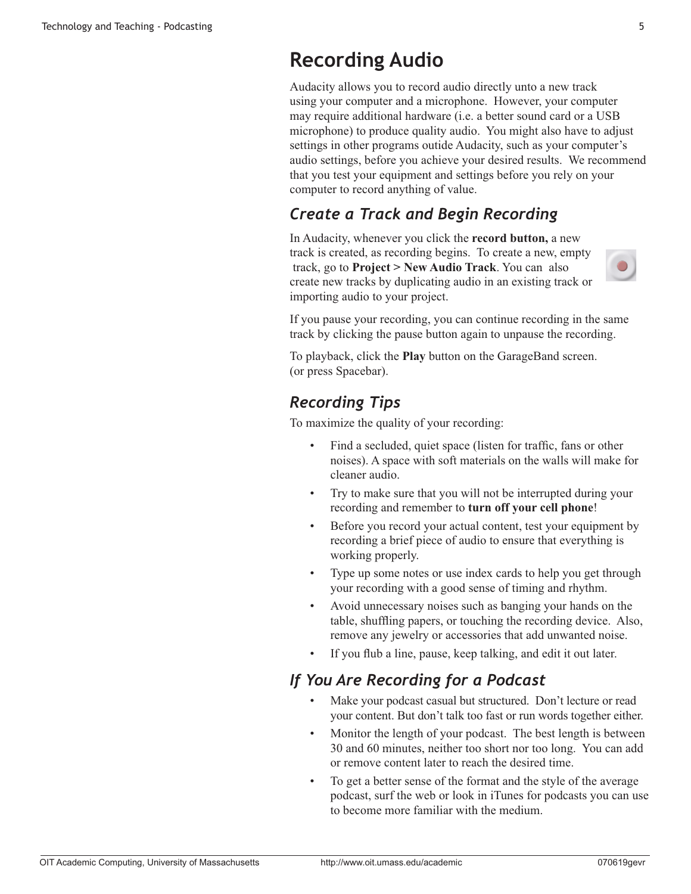# **Recording Audio**

Audacity allows you to record audio directly unto a new track using your computer and a microphone. However, your computer may require additional hardware (i.e. a better sound card or a USB microphone) to produce quality audio. You might also have to adjust settings in other programs outide Audacity, such as your computer's audio settings, before you achieve your desired results. We recommend that you test your equipment and settings before you rely on your computer to record anything of value.

### *Create a Track and Begin Recording*

In Audacity, whenever you click the **record button,** a new track is created, as recording begins. To create a new, empty track, go to **Project > New Audio Track**. You can also create new tracks by duplicating audio in an existing track or importing audio to your project.



To playback, click the **Play** button on the GarageBand screen. (or press Spacebar).

### *Recording Tips*

To maximize the quality of your recording:

- Find a secluded, quiet space (listen for traffic, fans or other noises). A space with soft materials on the walls will make for cleaner audio.
- Try to make sure that you will not be interrupted during your recording and remember to **turn off your cell phone**!
- Before you record your actual content, test your equipment by recording a brief piece of audio to ensure that everything is working properly.
- • Type up some notes or use index cards to help you get through your recording with a good sense of timing and rhythm.
- Avoid unnecessary noises such as banging your hands on the table, shuffling papers, or touching the recording device. Also, remove any jewelry or accessories that add unwanted noise.
- If you flub a line, pause, keep talking, and edit it out later.

### *If You Are Recording for a Podcast*

- Make your podcast casual but structured. Don't lecture or read your content. But don't talk too fast or run words together either.
- Monitor the length of your podcast. The best length is between 30 and 60 minutes, neither too short nor too long. You can add or remove content later to reach the desired time.
- • To get a better sense of the format and the style of the average podcast, surf the web or look in iTunes for podcasts you can use to become more familiar with the medium.

 $\bigcirc$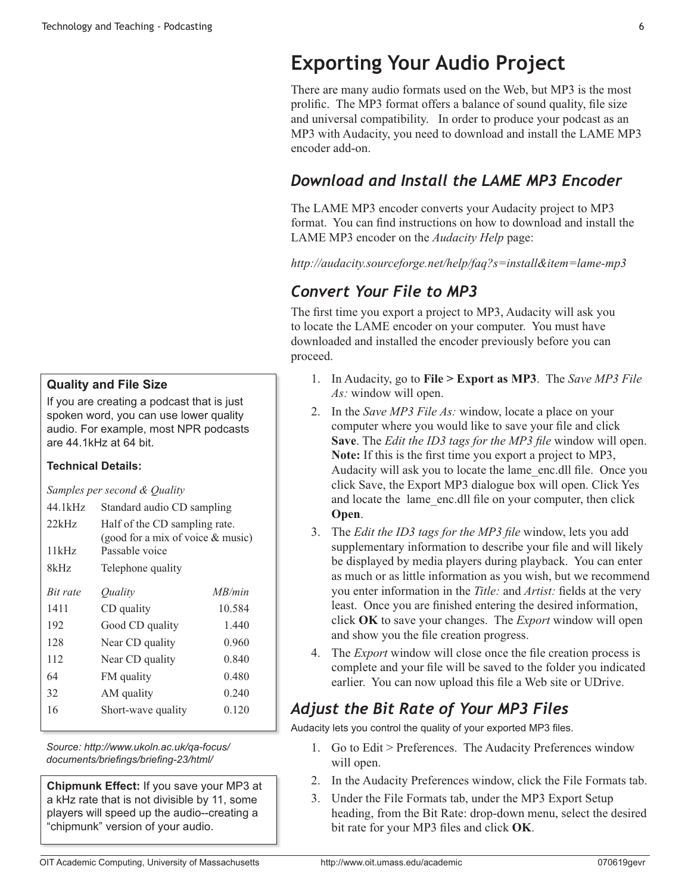#### **Quality and File Size**

If you are creating a podcast that is just spoken word, you can use lower quality audio. For example, most NPR podcasts are 44.1kHz at 64 bit.

#### **Technical Details:**

*Samples per second & Quality*

| 44.1kHz  | Standard audio CD sampling                                         |        |  |
|----------|--------------------------------------------------------------------|--------|--|
| 22kHz    | Half of the CD sampling rate.<br>(good for a mix of voice & music) |        |  |
| 11kHz    | Passable voice                                                     |        |  |
| 8kHz     | Telephone quality                                                  |        |  |
| Bit rate | <i>Ouality</i>                                                     | MB/min |  |
| 1411     | CD quality                                                         | 10.584 |  |
| 192      | Good CD quality                                                    | 1.440  |  |
| 128      | Near CD quality                                                    | 0.960  |  |
| 112      | Near CD quality                                                    | 0.840  |  |
| 64       | FM quality                                                         | 0.480  |  |
| 32       | AM quality                                                         | 0.240  |  |
| 16       | Short-wave quality                                                 | 0.120  |  |

*Source: http://www.ukoln.ac.uk/qa-focus/ documents/briefings/briefing-23/html/*

**Chipmunk Effect:** If you save your MP3 at a kHz rate that is not divisible by 11, some players will speed up the audio--creating a "chipmunk" version of your audio.

# **Exporting Your Audio Project**

There are many audio formats used on the Web, but MP3 is the most prolific. The MP3 format offers a balance of sound quality, file size and universal compatibility. In order to produce your podcast as an MP3 with Audacity, you need to download and install the LAME MP3 encoder add-on.

### *Download and Install the LAME MP3 Encoder*

The LAME MP3 encoder converts your Audacity project to MP3 format. You can find instructions on how to download and install the LAME MP3 encoder on the *Audacity Help* page:

*http://audacity.sourceforge.net/help/faq?s=install&item=lame-mp3* 

# *Convert Your File to MP3*

The first time you export a project to MP3, Audacity will ask you to locate the LAME encoder on your computer. You must have downloaded and installed the encoder previously before you can proceed.

- 1. In Audacity, go to **File > Export as MP3**. The *Save MP3 File As:* window will open.
- 2. In the *Save MP3 File As:* window, locate a place on your computer where you would like to save your file and click **Save**. The *Edit the ID3 tags for the MP3 file* window will open. **Note:** If this is the first time you export a project to MP3, Audacity will ask you to locate the lame\_enc.dll file. Once you click Save, the Export MP3 dialogue box will open. Click Yes and locate the lame\_enc.dll file on your computer, then click **Open**.
- 3. The *Edit the ID3 tags for the MP3 file* window, lets you add supplementary information to describe your file and will likely be displayed by media players during playback. You can enter as much or as little information as you wish, but we recommend you enter information in the *Title:* and *Artist:* fields at the very least. Once you are finished entering the desired information, click **OK** to save your changes. The *Export* window will open and show you the file creation progress.
- 4. The *Export* window will close once the file creation process is complete and your file will be saved to the folder you indicated earlier. You can now upload this file a Web site or UDrive.

# *Adjust the Bit Rate of Your MP3 Files*

Audacity lets you control the quality of your exported MP3 files.

- 1. Go to Edit > Preferences. The Audacity Preferences window will open.
- 2. In the Audacity Preferences window, click the File Formats tab.
- 3. Under the File Formats tab, under the MP3 Export Setup heading, from the Bit Rate: drop-down menu, select the desired bit rate for your MP3 files and click **OK**.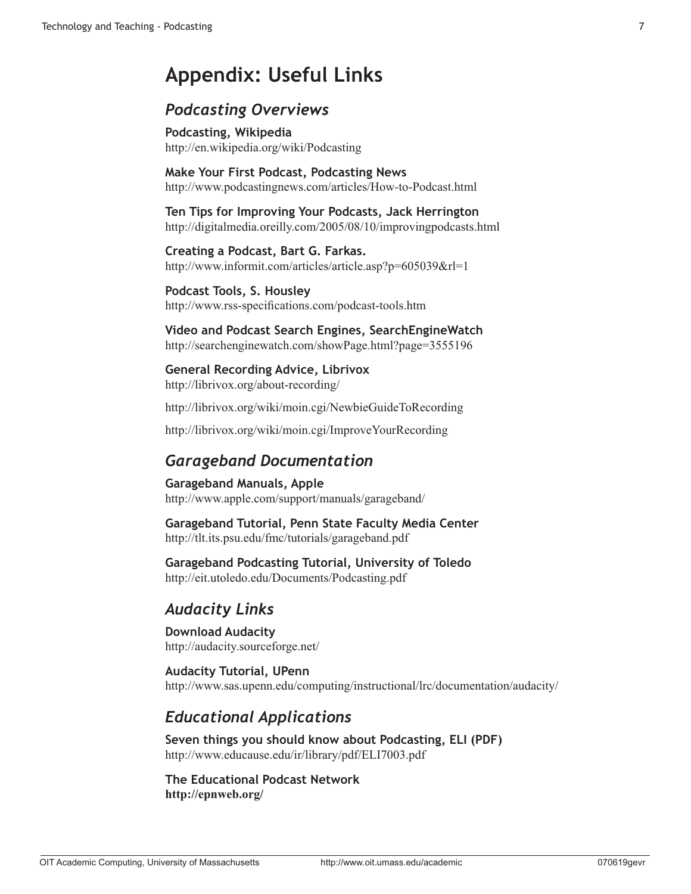# **Appendix: Useful Links**

### *Podcasting Overviews*

**Podcasting, Wikipedia** http://en.wikipedia.org/wiki/Podcasting

**Make Your First Podcast, Podcasting News**  http://www.podcastingnews.com/articles/How-to-Podcast.html

**Ten Tips for Improving Your Podcasts, Jack Herrington** http://digitalmedia.oreilly.com/2005/08/10/improvingpodcasts.html

**Creating a Podcast, Bart G. Farkas.** http://www.informit.com/articles/article.asp?p=605039&rl=1

**Podcast Tools, S. Housley** http://www.rss-specifications.com/podcast-tools.htm

**Video and Podcast Search Engines, SearchEngineWatch** http://searchenginewatch.com/showPage.html?page=3555196

**General Recording Advice, Librivox** http://librivox.org/about-recording/

http://librivox.org/wiki/moin.cgi/NewbieGuideToRecording

http://librivox.org/wiki/moin.cgi/ImproveYourRecording

# *Garageband Documentation*

**Garageband Manuals, Apple**  http://www.apple.com/support/manuals/garageband/

**Garageband Tutorial, Penn State Faculty Media Center** http://tlt.its.psu.edu/fmc/tutorials/garageband.pdf

**Garageband Podcasting Tutorial, University of Toledo** http://eit.utoledo.edu/Documents/Podcasting.pdf

# *Audacity Links*

**Download Audacity** http://audacity.sourceforge.net/

**Audacity Tutorial, UPenn** http://www.sas.upenn.edu/computing/instructional/lrc/documentation/audacity/

# *Educational Applications*

**Seven things you should know about Podcasting, ELI (PDF)** http://www.educause.edu/ir/library/pdf/ELI7003.pdf

**The Educational Podcast Network http://epnweb.org/**